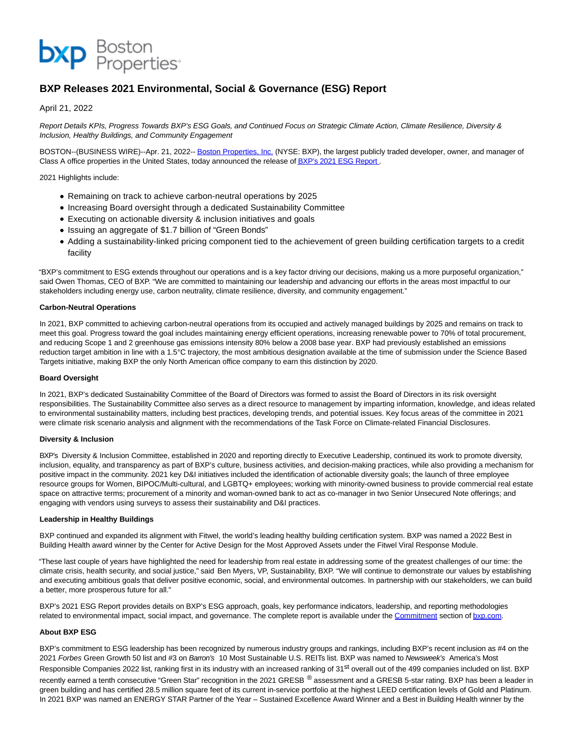

# **BXP Releases 2021 Environmental, Social & Governance (ESG) Report**

## April 21, 2022

Report Details KPIs, Progress Towards BXP's ESG Goals, and Continued Focus on Strategic Climate Action, Climate Resilience, Diversity & Inclusion, Healthy Buildings, and Community Engagement

BOSTON--(BUSINESS WIRE)--Apr. 21, 2022-[- Boston Properties, Inc. \(](https://cts.businesswire.com/ct/CT?id=smartlink&url=http%3A%2F%2Fwww.bxp.com%2F&esheet=52693667&newsitemid=20220421006072&lan=en-US&anchor=Boston+Properties%2C+Inc.&index=1&md5=2fc3b2c929ecb9265632e84230fe9089)NYSE: BXP), the largest publicly traded developer, owner, and manager of Class A office properties in the United States, today announced the release o[f BXP's 2021 ESG Report](https://cts.businesswire.com/ct/CT?id=smartlink&url=https%3A%2F%2Fwww.bxp.com%2F2021-esg-report&esheet=52693667&newsitemid=20220421006072&lan=en-US&anchor=BXP%26%238217%3Bs+2021+ESG+Report&index=2&md5=06735ebbaac733e521e98dae935996cd).

2021 Highlights include:

- Remaining on track to achieve carbon-neutral operations by 2025
- Increasing Board oversight through a dedicated Sustainability Committee
- Executing on actionable diversity & inclusion initiatives and goals
- Issuing an aggregate of \$1.7 billion of "Green Bonds"
- Adding a sustainability-linked pricing component tied to the achievement of green building certification targets to a credit facility

"BXP's commitment to ESG extends throughout our operations and is a key factor driving our decisions, making us a more purposeful organization," said Owen Thomas, CEO of BXP. "We are committed to maintaining our leadership and advancing our efforts in the areas most impactful to our stakeholders including energy use, carbon neutrality, climate resilience, diversity, and community engagement."

#### **Carbon-Neutral Operations**

In 2021, BXP committed to achieving carbon-neutral operations from its occupied and actively managed buildings by 2025 and remains on track to meet this goal. Progress toward the goal includes maintaining energy efficient operations, increasing renewable power to 70% of total procurement, and reducing Scope 1 and 2 greenhouse gas emissions intensity 80% below a 2008 base year. BXP had previously established an emissions reduction target ambition in line with a 1.5°C trajectory, the most ambitious designation available at the time of submission under the Science Based Targets initiative, making BXP the only North American office company to earn this distinction by 2020.

## **Board Oversight**

In 2021, BXP's dedicated Sustainability Committee of the Board of Directors was formed to assist the Board of Directors in its risk oversight responsibilities. The Sustainability Committee also serves as a direct resource to management by imparting information, knowledge, and ideas related to environmental sustainability matters, including best practices, developing trends, and potential issues. Key focus areas of the committee in 2021 were climate risk scenario analysis and alignment with the recommendations of the Task Force on Climate-related Financial Disclosures.

#### **Diversity & Inclusion**

BXP's Diversity & Inclusion Committee, established in 2020 and reporting directly to Executive Leadership, continued its work to promote diversity, inclusion, equality, and transparency as part of BXP's culture, business activities, and decision-making practices, while also providing a mechanism for positive impact in the community. 2021 key D&I initiatives included the identification of actionable diversity goals; the launch of three employee resource groups for Women, BIPOC/Multi-cultural, and LGBTQ+ employees; working with minority-owned business to provide commercial real estate space on attractive terms; procurement of a minority and woman-owned bank to act as co-manager in two Senior Unsecured Note offerings; and engaging with vendors using surveys to assess their sustainability and D&I practices.

#### **Leadership in Healthy Buildings**

BXP continued and expanded its alignment with Fitwel, the world's leading healthy building certification system. BXP was named a 2022 Best in Building Health award winner by the Center for Active Design for the Most Approved Assets under the Fitwel Viral Response Module.

"These last couple of years have highlighted the need for leadership from real estate in addressing some of the greatest challenges of our time: the climate crisis, health security, and social justice," said Ben Myers, VP, Sustainability, BXP. "We will continue to demonstrate our values by establishing and executing ambitious goals that deliver positive economic, social, and environmental outcomes. In partnership with our stakeholders, we can build a better, more prosperous future for all."

BXP's 2021 ESG Report provides details on BXP's ESG approach, goals, key performance indicators, leadership, and reporting methodologies related to environmental impact, social impact, and governance. The complete report is available under the [Commitment s](https://cts.businesswire.com/ct/CT?id=smartlink&url=https%3A%2F%2Fwww.bxp.com%2Fcommitment&esheet=52693667&newsitemid=20220421006072&lan=en-US&anchor=Commitment&index=3&md5=18094e07dbbf995faeee9802e7417c10)ection o[f bxp.com.](https://cts.businesswire.com/ct/CT?id=smartlink&url=https%3A%2F%2Fwww.bxp.com%2F&esheet=52693667&newsitemid=20220421006072&lan=en-US&anchor=bxp.com&index=4&md5=e26c34ac28fc22f6e8090ca0db5d8ed5)

## **About BXP ESG**

BXP's commitment to ESG leadership has been recognized by numerous industry groups and rankings, including BXP's recent inclusion as #4 on the 2021 Forbes Green Growth 50 list and #3 on Barron's 10 Most Sustainable U.S. REITs list. BXP was named to Newsweek's America's Most Responsible Companies 2022 list, ranking first in its industry with an increased ranking of 31<sup>st</sup> overall out of the 499 companies included on list. BXP recently earned a tenth consecutive "Green Star" recognition in the 2021 GRESB ® assessment and a GRESB 5-star rating. BXP has been a leader in green building and has certified 28.5 million square feet of its current in-service portfolio at the highest LEED certification levels of Gold and Platinum. In 2021 BXP was named an ENERGY STAR Partner of the Year – Sustained Excellence Award Winner and a Best in Building Health winner by the